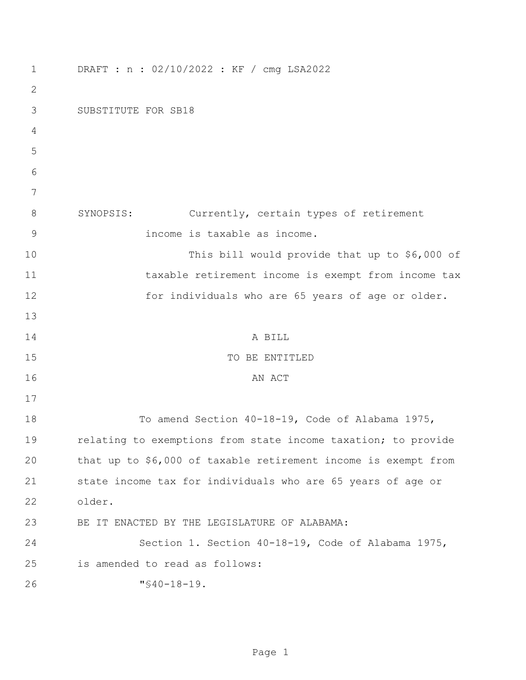| $\mathbf 1$  | DRAFT : n : 02/10/2022 : KF / cmg LSA2022                      |
|--------------|----------------------------------------------------------------|
| $\mathbf{2}$ |                                                                |
| 3            | SUBSTITUTE FOR SB18                                            |
| 4            |                                                                |
| 5            |                                                                |
| 6            |                                                                |
| 7            |                                                                |
| 8            | SYNOPSIS:<br>Currently, certain types of retirement            |
| 9            | income is taxable as income.                                   |
| 10           | This bill would provide that up to \$6,000 of                  |
| 11           | taxable retirement income is exempt from income tax            |
| 12           | for individuals who are 65 years of age or older.              |
| 13           |                                                                |
| 14           | A BILL                                                         |
| 15           | TO BE ENTITLED                                                 |
| 16           | AN ACT                                                         |
| 17           |                                                                |
| 18           | To amend Section 40-18-19, Code of Alabama 1975,               |
| 19           | relating to exemptions from state income taxation; to provide  |
| 20           | that up to \$6,000 of taxable retirement income is exempt from |
| 21           | state income tax for individuals who are 65 years of age or    |
| 22           | older.                                                         |
| 23           | BE IT ENACTED BY THE LEGISLATURE OF ALABAMA:                   |
| 24           | Section 1. Section 40-18-19, Code of Alabama 1975,             |
| 25           | is amended to read as follows:                                 |
| 26           | $"$ \$40-18-19.                                                |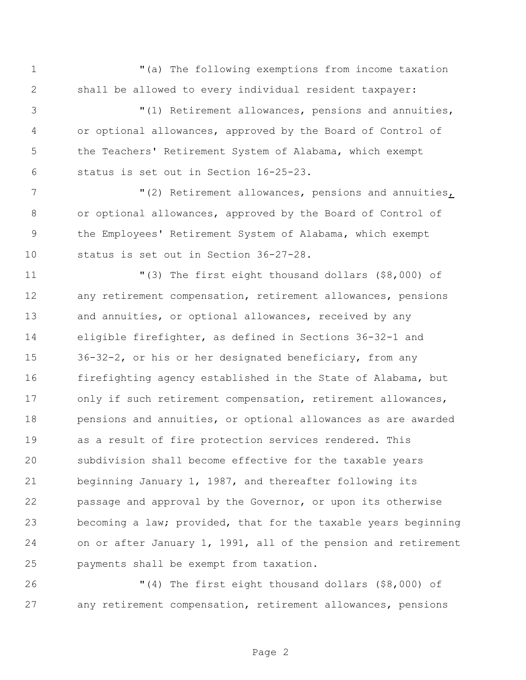"(a) The following exemptions from income taxation shall be allowed to every individual resident taxpayer:

 "(1) Retirement allowances, pensions and annuities, or optional allowances, approved by the Board of Control of the Teachers' Retirement System of Alabama, which exempt status is set out in Section 16-25-23.

 $(2)$  Retirement allowances, pensions and annuities, or optional allowances, approved by the Board of Control of the Employees' Retirement System of Alabama, which exempt status is set out in Section 36-27-28.

 "(3) The first eight thousand dollars (\$8,000) of any retirement compensation, retirement allowances, pensions and annuities, or optional allowances, received by any eligible firefighter, as defined in Sections 36-32-1 and 36-32-2, or his or her designated beneficiary, from any firefighting agency established in the State of Alabama, but only if such retirement compensation, retirement allowances, pensions and annuities, or optional allowances as are awarded as a result of fire protection services rendered. This subdivision shall become effective for the taxable years beginning January 1, 1987, and thereafter following its passage and approval by the Governor, or upon its otherwise becoming a law; provided, that for the taxable years beginning on or after January 1, 1991, all of the pension and retirement payments shall be exempt from taxation.

 "(4) The first eight thousand dollars (\$8,000) of any retirement compensation, retirement allowances, pensions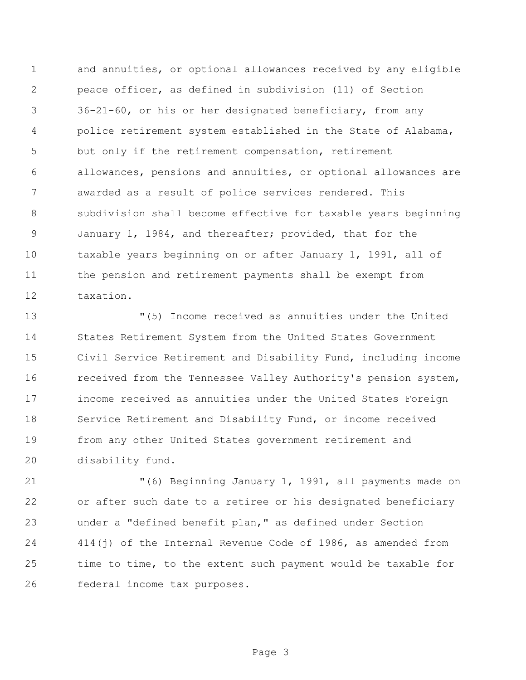and annuities, or optional allowances received by any eligible peace officer, as defined in subdivision (11) of Section 36-21-60, or his or her designated beneficiary, from any police retirement system established in the State of Alabama, but only if the retirement compensation, retirement allowances, pensions and annuities, or optional allowances are awarded as a result of police services rendered. This subdivision shall become effective for taxable years beginning January 1, 1984, and thereafter; provided, that for the taxable years beginning on or after January 1, 1991, all of the pension and retirement payments shall be exempt from taxation.

 "(5) Income received as annuities under the United States Retirement System from the United States Government Civil Service Retirement and Disability Fund, including income received from the Tennessee Valley Authority's pension system, income received as annuities under the United States Foreign Service Retirement and Disability Fund, or income received from any other United States government retirement and disability fund.

 "(6) Beginning January 1, 1991, all payments made on or after such date to a retiree or his designated beneficiary under a "defined benefit plan," as defined under Section 414(j) of the Internal Revenue Code of 1986, as amended from time to time, to the extent such payment would be taxable for federal income tax purposes.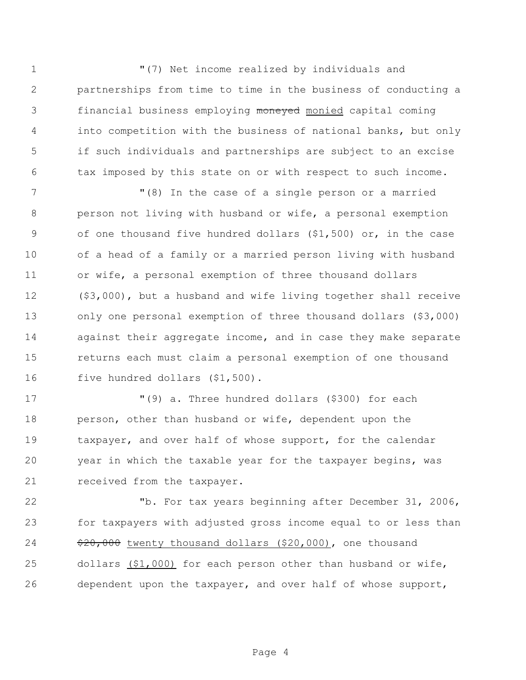$(7)$  Net income realized by individuals and partnerships from time to time in the business of conducting a 3 financial business employing moneyed monied capital coming into competition with the business of national banks, but only if such individuals and partnerships are subject to an excise tax imposed by this state on or with respect to such income.

 "(8) In the case of a single person or a married person not living with husband or wife, a personal exemption of one thousand five hundred dollars (\$1,500) or, in the case of a head of a family or a married person living with husband or wife, a personal exemption of three thousand dollars (\$3,000), but a husband and wife living together shall receive only one personal exemption of three thousand dollars (\$3,000) against their aggregate income, and in case they make separate returns each must claim a personal exemption of one thousand 16 five hundred dollars (\$1,500).

 "(9) a. Three hundred dollars (\$300) for each 18 person, other than husband or wife, dependent upon the taxpayer, and over half of whose support, for the calendar year in which the taxable year for the taxpayer begins, was 21 received from the taxpayer.

 "b. For tax years beginning after December 31, 2006, for taxpayers with adjusted gross income equal to or less than  $\frac{120}{100}$  twenty thousand dollars (\$20,000), one thousand dollars (\$1,000) for each person other than husband or wife, dependent upon the taxpayer, and over half of whose support,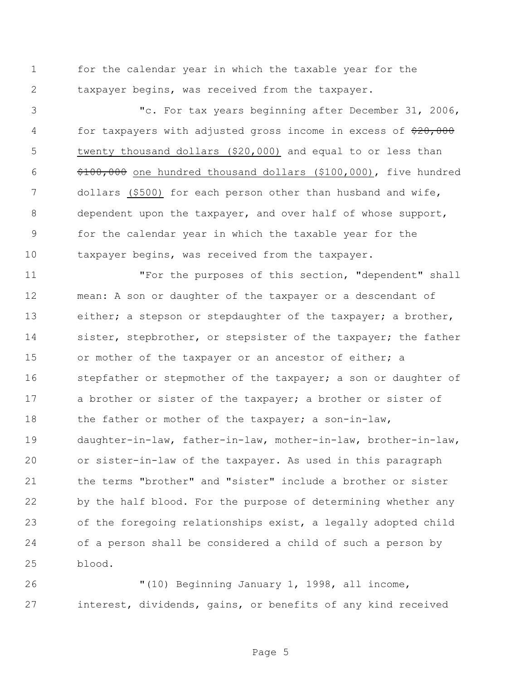for the calendar year in which the taxable year for the taxpayer begins, was received from the taxpayer.

 "c. For tax years beginning after December 31, 2006, 4 for taxpayers with adjusted gross income in excess of  $\frac{20,000}{20}$  twenty thousand dollars (\$20,000) and equal to or less than \$100,000 one hundred thousand dollars (\$100,000), five hundred dollars (\$500) for each person other than husband and wife, dependent upon the taxpayer, and over half of whose support, for the calendar year in which the taxable year for the taxpayer begins, was received from the taxpayer.

 "For the purposes of this section, "dependent" shall mean: A son or daughter of the taxpayer or a descendant of 13 either; a stepson or stepdaughter of the taxpayer; a brother, 14 sister, stepbrother, or stepsister of the taxpayer; the father 15 or mother of the taxpayer or an ancestor of either; a 16 stepfather or stepmother of the taxpayer; a son or daughter of 17 a brother or sister of the taxpayer; a brother or sister of 18 the father or mother of the taxpayer; a son-in-law, daughter-in-law, father-in-law, mother-in-law, brother-in-law, or sister-in-law of the taxpayer. As used in this paragraph the terms "brother" and "sister" include a brother or sister by the half blood. For the purpose of determining whether any of the foregoing relationships exist, a legally adopted child of a person shall be considered a child of such a person by blood.

 "(10) Beginning January 1, 1998, all income, interest, dividends, gains, or benefits of any kind received

Page 5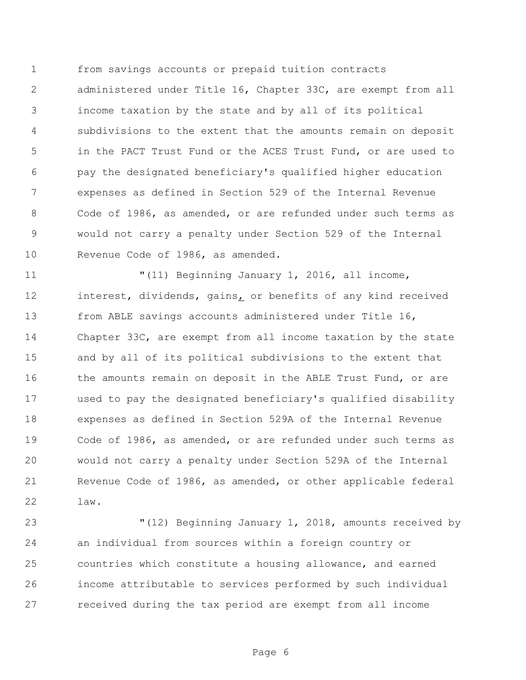from savings accounts or prepaid tuition contracts administered under Title 16, Chapter 33C, are exempt from all income taxation by the state and by all of its political subdivisions to the extent that the amounts remain on deposit in the PACT Trust Fund or the ACES Trust Fund, or are used to pay the designated beneficiary's qualified higher education expenses as defined in Section 529 of the Internal Revenue Code of 1986, as amended, or are refunded under such terms as would not carry a penalty under Section 529 of the Internal Revenue Code of 1986, as amended.

 "(11) Beginning January 1, 2016, all income, interest, dividends, gains, or benefits of any kind received from ABLE savings accounts administered under Title 16, Chapter 33C, are exempt from all income taxation by the state and by all of its political subdivisions to the extent that 16 the amounts remain on deposit in the ABLE Trust Fund, or are used to pay the designated beneficiary's qualified disability expenses as defined in Section 529A of the Internal Revenue Code of 1986, as amended, or are refunded under such terms as would not carry a penalty under Section 529A of the Internal Revenue Code of 1986, as amended, or other applicable federal law.

 "(12) Beginning January 1, 2018, amounts received by an individual from sources within a foreign country or countries which constitute a housing allowance, and earned income attributable to services performed by such individual received during the tax period are exempt from all income

Page 6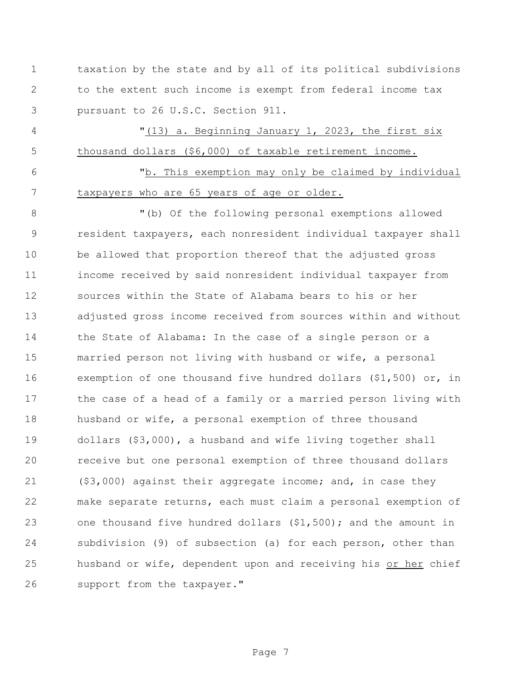taxation by the state and by all of its political subdivisions to the extent such income is exempt from federal income tax pursuant to 26 U.S.C. Section 911.

4 "(13) a. Beginning January 1, 2023, the first six thousand dollars (\$6,000) of taxable retirement income.

 "b. This exemption may only be claimed by individual taxpayers who are 65 years of age or older.

 "(b) Of the following personal exemptions allowed resident taxpayers, each nonresident individual taxpayer shall be allowed that proportion thereof that the adjusted gross income received by said nonresident individual taxpayer from sources within the State of Alabama bears to his or her adjusted gross income received from sources within and without the State of Alabama: In the case of a single person or a married person not living with husband or wife, a personal exemption of one thousand five hundred dollars (\$1,500) or, in the case of a head of a family or a married person living with husband or wife, a personal exemption of three thousand dollars (\$3,000), a husband and wife living together shall receive but one personal exemption of three thousand dollars (\$3,000) against their aggregate income; and, in case they make separate returns, each must claim a personal exemption of one thousand five hundred dollars (\$1,500); and the amount in subdivision (9) of subsection (a) for each person, other than husband or wife, dependent upon and receiving his or her chief 26 support from the taxpayer."